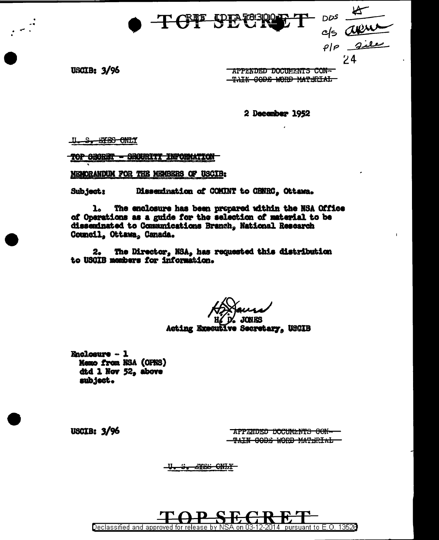$\frac{1005}{c/s}$ <br> $\frac{d\theta}{d\theta}$ <br> $\frac{d\theta}{d\theta}$ <br> $\frac{d\theta}{d\theta}$ <br> $\frac{d\theta}{d\theta}$ **TCT PET** 

**USCIB: 3/96** 

**APPENDED DOCUMENTS CON-**TAIN CODE WORD MATERIAL

2 December 1952

<u>U.S. STES ONLY</u>

<u> TOP ƏBƏRIST — ƏBƏVRITI INFORMATION</u>

MEMORANDUM FOR THE MEMBERS OF USCIB:

Subject: Dissemination of COMINT to CHNRC. Ottawa.

The enclosure has been propared within the NSA Office **l** of Operations as a guide for the selection of material to be disseminated to Communications Branch, National Research Council, Ottawa, Canada.

The Director, NSA, has requested this distribution  $2<sub>o</sub>$ to USCIB members for information.

Acting Executive Secretary, USCIB

**Enclosure - 1** Memo from NSA (OPNS) dtd 1 Nov 52, above subject.

**USCIB: 3/96** 

APPANDED DOCUMENTS CON-TAIN CODE WORD MATERIAL

<del>U. S. AYES ONLY</del>

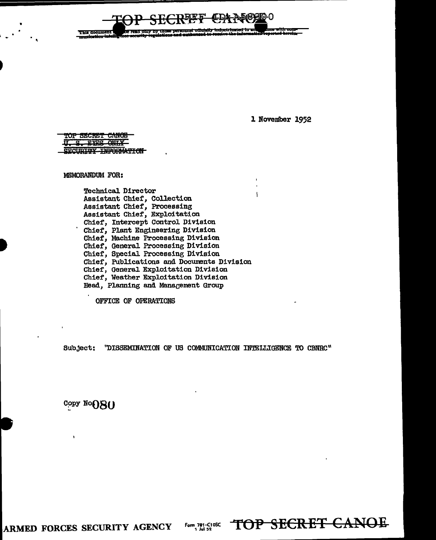This document ead only by

1 November 1952

TOP SECRET CANOE U.S. EVES ONLY SECURITY INFORMATION

MEMORANDUM FOR:

Technical Director Assistant Chief, Collection Assistant Chief, Processing Assistant Chief, Exploitation Chief, Intercept Control Division Chief, Plant Engineering Division<br>Chief, Machine Processing Division Chief, General Processing Division Chief, Special Processing Division Chief, Publications and Documents Division Chief, General Exploitation Division Chief, Weather Exploitation Division Head, Planning and Management Group

OFFICE OF OPERATIONS

Subject: "DISSEMINATION OF US COMMUNICATION INTELLIGENCE TO CBNRC"

Copy NoOSO

ARMED FORCES SECURITY AGENCY

Form 781-C10SC<br>1 Jul 52

TOP SECRET CANOE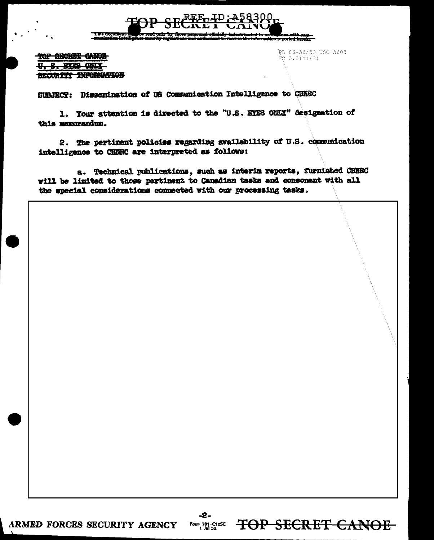

TOP SECRET CANOE U.S. FYPS ONLY SECURITY INFORMATION PL 86-36/50 USC 3605  $E_0$  3.3(h)(2)

TOP SECRET CANOE

SURIECT: Dissemination of US Communication Intelligence to CBNRC

1. Your attention is directed to the "U.S. EYES ONLY" designation of this manorandum.

2. The pertinent policies regarding availability of U.S. communication intelligence to CBNRC are interpreted as follows:

a. Technical publications, such as interin reports, furnished CBNRC will be limited to those pertinent to Canadian tasks and consomant with all the special considerations connected with our processing tasks.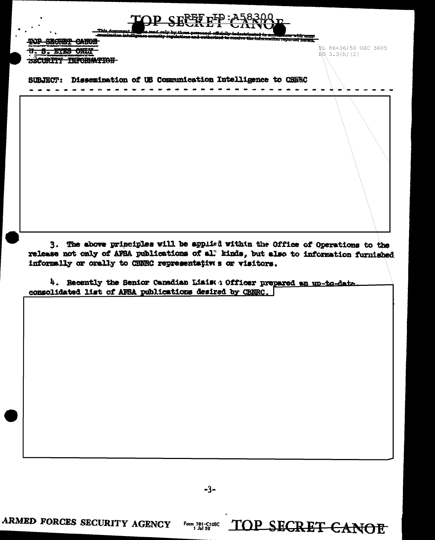**Mace with come**<br>reported herein.

TOP SECRET CANOB **U. S. EYES ONLY** BECURITY INFORMATION

RL 86-36/50 USC 3605  $BQ$  3.3(h)(2)

SUBJECT: Dissemination of US Communication Intelligence to CHNRC

3. The above principles will be applied within the Office of Operations to the release not only of AFBA publications of al. kinds, but also to information furnished informally or orally to CBNRC representatives or visitors.

4. Recently the Senior Canadian Liais: 0fficer prepared an up-to-date consolidated list of AFSA publications desired by CBNRC.

 $-3-$ 

Form 781-C10SC<br>1 Jul 52

TOP SECRET CANOE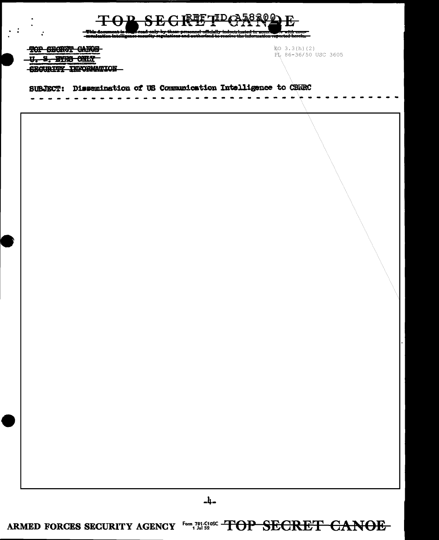| TOP SECRET CANOS<br><del>S. BYJS ONLY</del><br><b>SECURITY INFORMATION</b> | E(0 3.3(h)(2))<br>PL 86-36/50 USC 3605 |  |
|----------------------------------------------------------------------------|----------------------------------------|--|
| SUBJECT: Dissemination of US Communication Intelligence to CBNRC           |                                        |  |
|                                                                            |                                        |  |
|                                                                            |                                        |  |
|                                                                            |                                        |  |
|                                                                            |                                        |  |
|                                                                            |                                        |  |
|                                                                            |                                        |  |
|                                                                            |                                        |  |
|                                                                            |                                        |  |
|                                                                            |                                        |  |
|                                                                            |                                        |  |
|                                                                            |                                        |  |
|                                                                            |                                        |  |
|                                                                            |                                        |  |

ARMED FORCES SECURITY AGENCY FOR 781-C105C TOP SECRET CANOE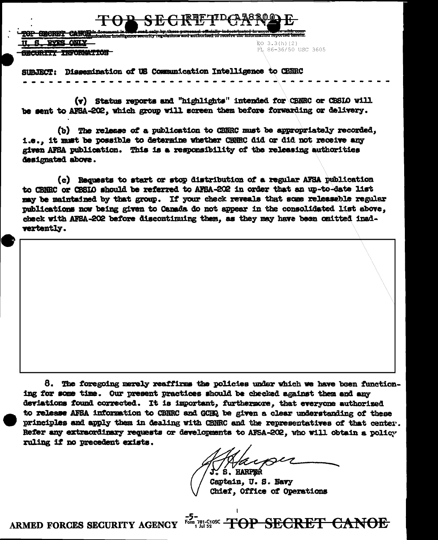**CRORET CARGO RVES ONLY**  $EO$  3.3(h)(2) PL 86-36/50 USC 3605 <del>SECURITY INFORMATION</del>

SUBJECT: Dissemination of US Communication Intelligence to CBRRC

(v) Status reports and "highlights" intended for CBNRC or CBSIO will be sent to AFSA-202, which group will screen them before forwarding or delivery.

(b) The release of a publication to CENRC must be appropriately recorded, i.e., it must be possible to determine whether CENRC did or did not receive any given AFSA publication. This is a responsibility of the releasing authorities designated above.

(c) Requests to start or stop distribution of a regular AFSA publication to CBNRC or CBSIO should be referred to AFSA-202 in order that an up-to-date list may be maintained by that group. If your check reveals that some releaseble regular publications now being given to Canada do not appear in the consolidated list above, check with AFSA-202 before discontinuing them, as they may have been omitted inadvertently.

8. The foregoing merely reaffirms the policies under which we have been functioning for some time. Our present practices should be checked against them and any deviations found corrected. It is important, furthermore, that everyone authorized to release AFSA information to CBNRC and GCHQ be given a clear understanding of these principles and apply them in dealing with CBNRC and the representatives of that center. Refer any extraordinary requests or developments to AFSA-202, who will obtain a policy ruling if no precedent exists.

S. HARPER

Captain, U.S. Navy Chief, Office of Operations

For secret CANOE

ARMED FORCES SECURITY AGENCY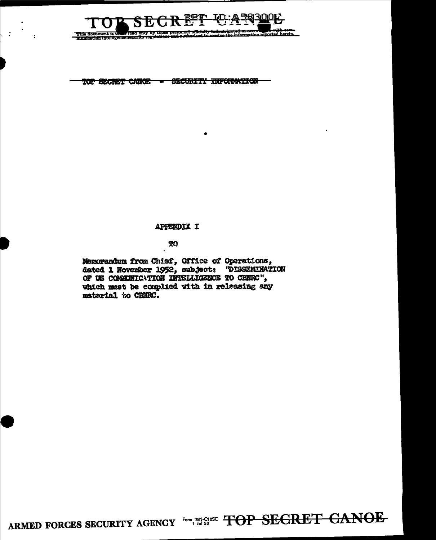

TOP SECRET CANCE - SECURITI INFORMATION

 $\mathcal{L}$ 

#### APPENDIX I

#### TO

Memorandum from Chief, Office of Operations, dated 1 November 1952, subject: "DISSEMINATION OF US CONSUMICNTION INTELLIGENCE TO CENEC", which must be complied with in releasing any material to CBNRC.

ARMED FORCES SECURITY AGENCY Form 781-C105C TOP SECRET CANOE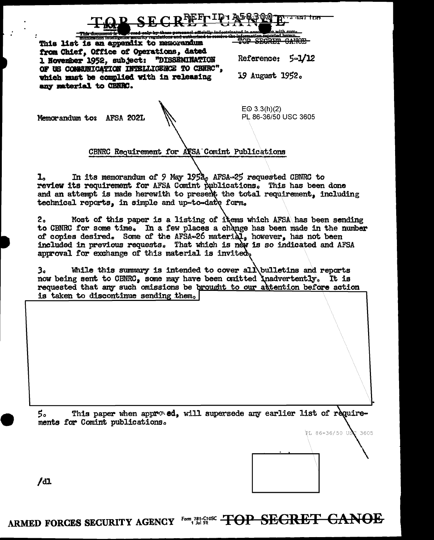

TOP SECRET CANOE

This list is an appendix to memorandum from Chief, Office of Operations, dated 1 November 1952, subject: "DISSENINATION OF US COMMUNICATION INTELLIGENCE TO CRURC", which must be complied with in releasing any material to CBNRC.

Reference: 5=1/12

19 August 1952.

Memorandum to: AFSA 202L

 $EQ$  3.3(h)(2) PL 86-36/50 USC 3605

#### CBNRC Requirement for AFSA Comint Publications

In its memorandum of 9 May 1952, AFSA-25 requested CBNRC to  $\mathbf{I}_{\alpha}$ review its requirement for AFSA Comint publications. This has been done and an attempt is made herewith to present the total requirement, including technical reports. in simple and up-to-date form.

Most of this paper is a listing of items which AFSA has been sending  $2<sub>a</sub>$ to CBNRC for some time. In a few places a change has been made in the number of copies desired. Some of the AFSA-26 material, however, has not been included in previous requests. That which is new is so indicated and AFSA approval for exchange of this material is invited.

While this summary is intended to cover all bulletins and reports 3。 now being sent to CBNRC, some may have been omitted inadvertently. It is requested that any such omissions be brought to our attention before action is taken to discontinue sending them.

This paper when approved, will supersede any earlier list of require-5。 ments for Comint publications.



/dl

ARMED FORCES SECURITY AGENCY FOR 781-C1052 TOP SEGRET CANOE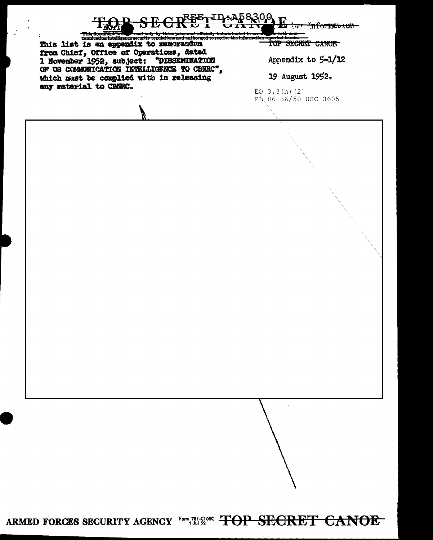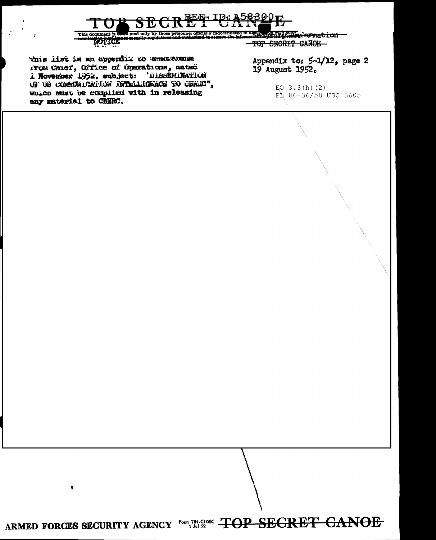

Whis list is an appendik to usuckernum rrom Unief, Office of Operations, unted i November 1952, subject: 'DISSEMINATION OF US COMMONICATION INTELLIGENCE TO CEREC", which must be complied with in releasing any material to CBNRC.

Appendix to: 5-1/12, page 2 19 August 1952.

> EO  $3.3(h)$  (2) PL 86-36/50 USC 3605

ARMED FORCES SECURITY AGENCY FOR 781-C10SC TOP SEGRET GANOE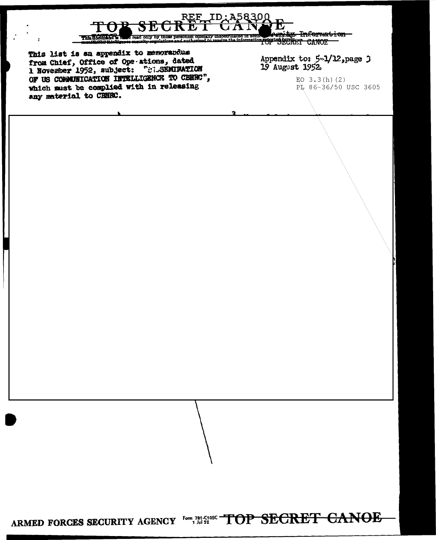

from Chief, Office of Ope ations, dated<br>1 November 1952, subject: "Wi-SEMIWATION OF US CONNUNICATION INTELLIGENCE TO CERRO", which must be complied with in releasing any material to CBNRC.

Appendix to: 5-1/12, page 3 19 August 1952

> EO  $3.3(h)$  (2) PL 86-36/50 USC 3605

ARMED FORCES SECURITY AGENCY FOR 781-C105C TOP SECRET CANOE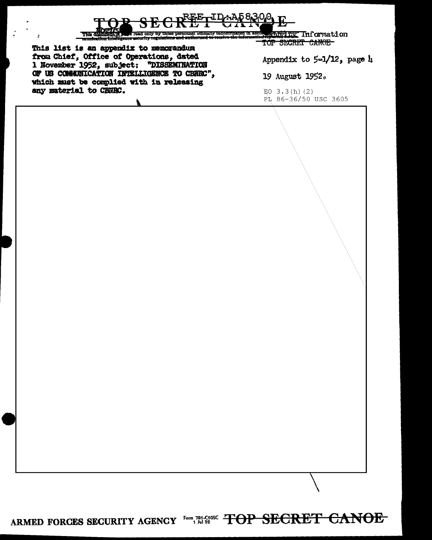

ARMED FORCES SECURITY AGENCY Form 781-5196C TOP SECRET CANOE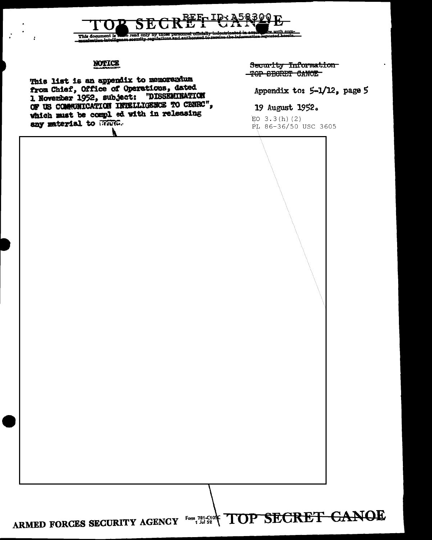## read only by those This document is

### NOTICE

This list is an appendix to memorandum from Chief, Office of Operations, dated 1 November 1952, subject: "DISSEMINATION OF US COMMUNICATION INTELLIGENCE TO CENEC", which must be compl ed with in releasing any material to WHING.

Security Information TOP SECRET CANOE

Appendix to: 5-1/12, page 5

#### 19 August 1952.

 $EO$  3.3(h)(2) PL 86-36/50 USC 3605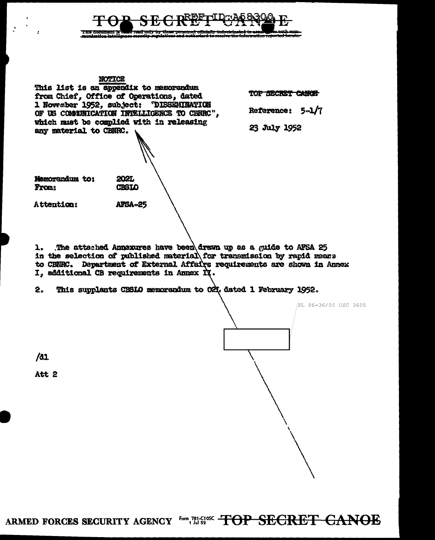

#### NOTICE

This list is an appendix to memorandum from Chief, Office of Operations, dated 1 November 1952, subject: "DISSEMINATION OF US COMMUNICATION INTELLIGENCE TO CENEC". which must be complied with in releasing any material to CENRC.

> 2021. **CBSIO**

**AFSA-25** 

TOP SECRET CANCE

Reference:  $5-1/7$ 

23 July 1952

Memorandum to: From:

Attention:

The attached Annexures have been drawn up as a guide to AFSA 25  $\mathbf{1}$ . in the selection of published material for transmission by rapid means to CBNRC. Department of External Affairs requirements are shown in Annex I, additional CB requirements in Annex II.

This supplants CBSIO memorandum to O21, dated 1 February 1952.  $2<sub>n</sub>$ 

PL 86-36/50 USC 3605

 $/31$ 

Att 2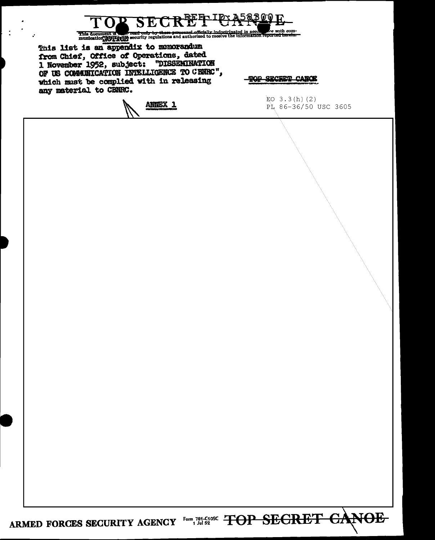| any material to CBNRC. | OF US COMMUNICATION INTELLIGENCE TO CENEC",<br>which must be complied with in releasing | <b>TOP SECRET CANCE</b><br>EO $3.3(h)$ (2) |
|------------------------|-----------------------------------------------------------------------------------------|--------------------------------------------|
|                        | ANNEX <sub>1</sub>                                                                      | PL 86-36/50 USC 3605                       |
|                        |                                                                                         |                                            |
|                        |                                                                                         |                                            |
|                        |                                                                                         |                                            |
|                        |                                                                                         |                                            |
|                        |                                                                                         |                                            |
|                        |                                                                                         |                                            |
|                        |                                                                                         |                                            |
|                        |                                                                                         |                                            |
|                        |                                                                                         |                                            |
|                        |                                                                                         |                                            |
|                        |                                                                                         |                                            |
|                        |                                                                                         |                                            |
|                        |                                                                                         |                                            |
|                        |                                                                                         |                                            |

╲

 $\vdash$  :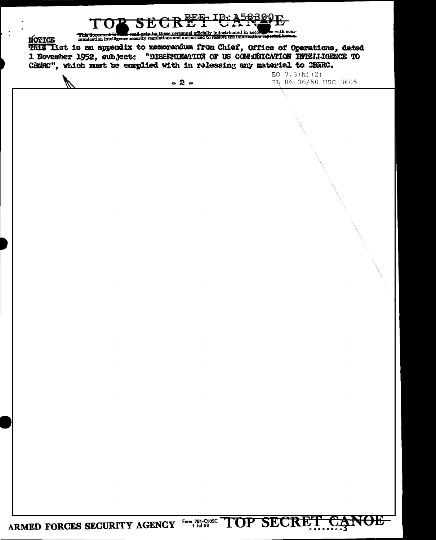This document is vessel only by those personnel officially indoctrinated in accomment is vessel only by those personnel officially indoctrinated in accomments. with com-**NOTICE** This Iist is an appendix to memorandum from Chief, Office of Operations, dated<br>1 November 1952, subject: "DISSENINATION OF US CONJUNICATION INTELLIGENCE TO CENHC", which must be complied with in releasing any material to CENHC. EO  $3.3(h)$  (2) PL 86-36/50 USC 3605  $-2 -$ 

ARMED FORCES SECURITY AGENCY Form 781-C105C TOP SECRET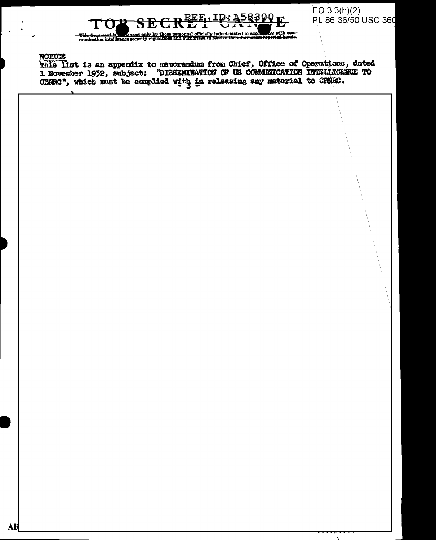REE ID: A58300 .<br>ee with com-

 $EO 3.3(h)(2)$ PL 86-36/50 USC 360

#### **NOTICE**

This list is an appendix to memorandum from Chief, Office of Operations, dated 1 November 1952, subject: "DISSENINATION OF US COMMINICATION INTELLIGENCE TO CHURC", which must be complied with in releasing any material to CRURC.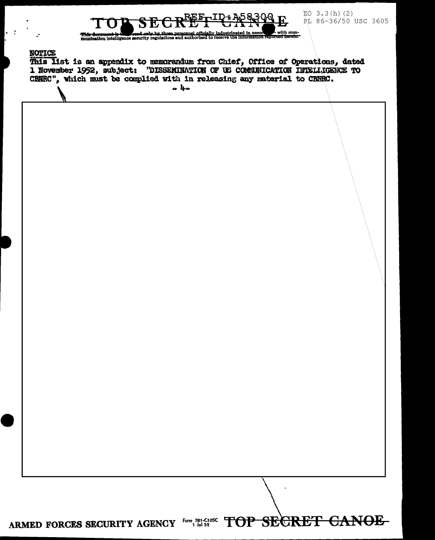

EO  $3.3(h)(2)$ PL 86-36/50 USC 3605

#### **NOTICE**

 $\ddot{\phantom{0}}$ 

This Itst is an appendix to memorandum from Chief, Office of Operations, dated 1 November 1952, subject: "DISSEMINATION OF US COMMUNICATION INTELLIGENCE TO CRNRC", which must be complied with in releasing any material to CRNRC.

 $a$   $h_a$ 

## ARMED FORCES SECURITY AGENCY FOR 781-C105C TOP SECRET CANOE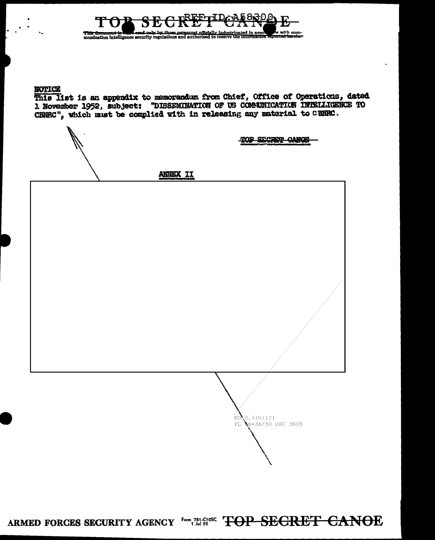

#### **NOTICE**

This list is an appendix to memorandum from Chief, Office of Operations, dated 1 November 1952, subject: "DISSEMINATION OF US COMMITCATION INTELLIGENCE TO CENRC", which must be complied with in releasing any material to CBNRC.

TOP SECRET CANCE

 $3.3(h)(2)$ 

PL 86-36/50 USC 3605

EO.

ANNEX II

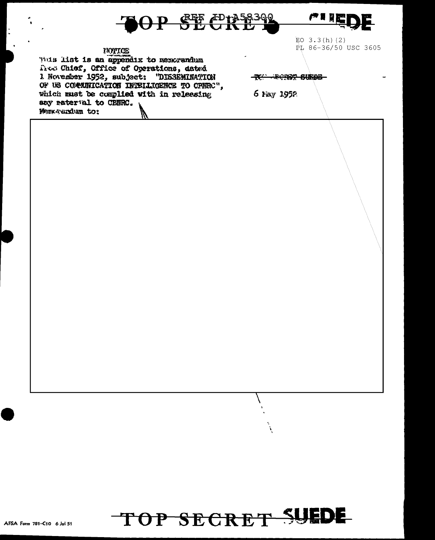

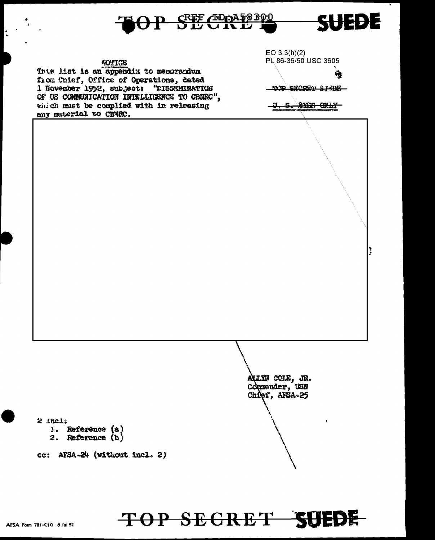

#### **NOTICE**

This list is an appendix to memorandum from Chief, Office of Operations, dated 1 November 1952, subject: "DISSEMINATION OF US COMMUNICATION INTELLIGENCE TO CBNRC", which must be complied with in releasing any material to CBWRC.

 $EO 3.3(h)(2)$ PL 86-36/50 USC 3605

TOP SECRED SYNCH

112

<del>u, s. ryes only-</del>

ALLYN COLE, JR.<br>Commender, USN Chief, AFSA-25

#### $2$  incl:

- 1. Reference (a)
- 2. Reference (b)

ce: AFSA-24 (without incl. 2)

# TOP SECRET SUEDE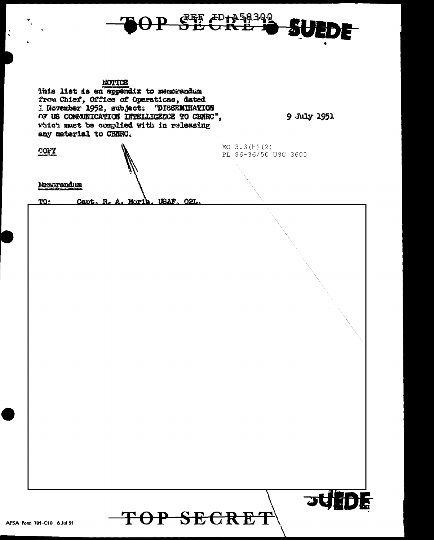

 $\ddot{\cdot}$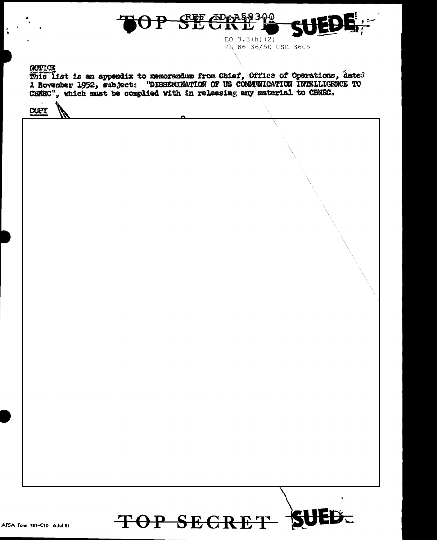

 $EO$  3.3(h)(2) PL 86-36/50 USC 3605

NOTTOE

This list is an appendix to memorandum from Chief, Office of Operations, dated 1 November 1952, subject: "DISSEMINATION OF US COMMUNICATION INTELLIGENCE TO CENRC", which must be complied with in releasing any material to C

COPY